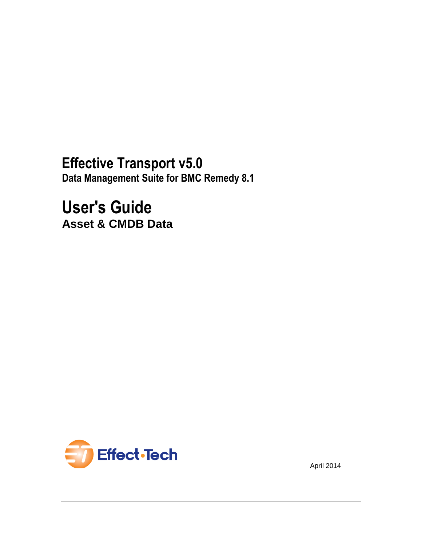# **Effective Transport v5.0**

**Data Management Suite for BMC Remedy 8.1**

**User's Guide Asset & CMDB Data**



April 2014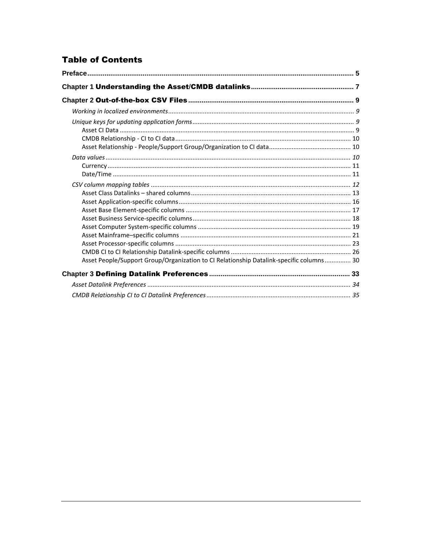# **Table of Contents**

| Asset People/Support Group/Organization to CI Relationship Datalink-specific columns 30 |  |
|-----------------------------------------------------------------------------------------|--|
|                                                                                         |  |
|                                                                                         |  |
|                                                                                         |  |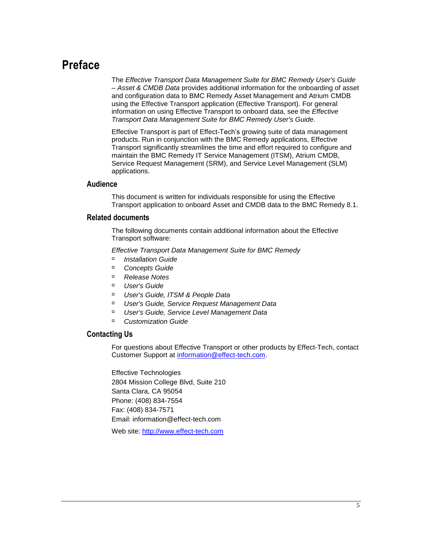# <span id="page-4-0"></span>**Preface**

The *Effective Transport Data Management Suite for BMC Remedy User's Guide – Asset & CMDB Data* provides additional information for the onboarding of asset and configuration data to BMC Remedy Asset Management and Atrium CMDB using the Effective Transport application (Effective Transport). For general information on using Effective Transport to onboard data, see the *Effective Transport Data Management Suite for BMC Remedy User's Guide*.

Effective Transport is part of Effect-Tech's growing suite of data management products. Run in conjunction with the BMC Remedy applications, Effective Transport significantly streamlines the time and effort required to configure and maintain the BMC Remedy IT Service Management (ITSM), Atrium CMDB, Service Request Management (SRM), and Service Level Management (SLM) applications.

#### **Audience**

This document is written for individuals responsible for using the Effective Transport application to onboard Asset and CMDB data to the BMC Remedy 8.1.

#### **Related documents**

The following documents contain additional information about the Effective Transport software:

*Effective Transport Data Management Suite for BMC Remedy*

- *Installation Guide*
- *Concepts Guide*
- *Release Notes*
- *User's Guide*
- *User's Guide, ITSM & People Data*
- *User's Guide, Service Request Management Data*
- *User's Guide, Service Level Management Data*
- *Customization Guide*

#### **Contacting Us**

For questions about Effective Transport or other products by Effect-Tech, contact Customer Support at [information@effect-tech.com.](mailto:information@effect-tech.com)

Effective Technologies 2804 Mission College Blvd, Suite 210 Santa Clara, CA 95054 Phone: (408) 834-7554 Fax: (408) 834-7571 Email: information@effect-tech.com

Web site: [http://www.effect-tech.com](http://www.effect-tech.com/)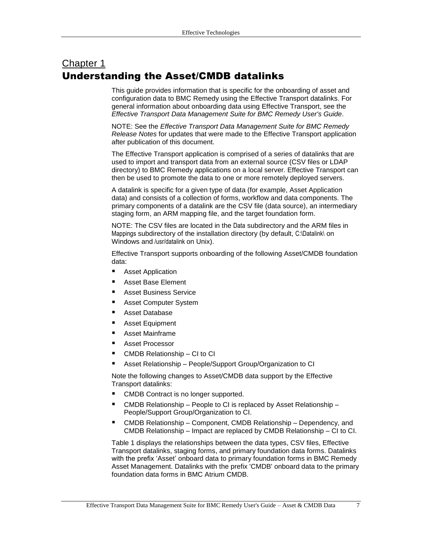# <span id="page-6-0"></span>Chapter 1 Understanding the Asset/CMDB datalinks

This guide provides information that is specific for the onboarding of asset and configuration data to BMC Remedy using the Effective Transport datalinks. For general information about onboarding data using Effective Transport, see the *Effective Transport Data Management Suite for BMC Remedy User's Guide*.

NOTE: See the *Effective Transport Data Management Suite for BMC Remedy Release Notes* for updates that were made to the Effective Transport application after publication of this document.

The Effective Transport application is comprised of a series of datalinks that are used to import and transport data from an external source (CSV files or LDAP directory) to BMC Remedy applications on a local server. Effective Transport can then be used to promote the data to one or more remotely deployed servers.

A datalink is specific for a given type of data (for example, Asset Application data) and consists of a collection of forms, workflow and data components. The primary components of a datalink are the CSV file (data source), an intermediary staging form, an ARM mapping file, and the target foundation form.

NOTE: The CSV files are located in the Data subdirectory and the ARM files in Mappings subdirectory of the installation directory (by default, C:\Datalink\ on Windows and /usr/datalink on Unix).

Effective Transport supports onboarding of the following Asset/CMDB foundation data:

- Asset Application
- Asset Base Element
- Asset Business Service
- Asset Computer System
- Asset Database
- **Asset Equipment**
- Asset Mainframe
- Asset Processor
- CMDB Relationship CI to CI
- Asset Relationship People/Support Group/Organization to CI

Note the following changes to Asset/CMDB data support by the Effective Transport datalinks:

- CMDB Contract is no longer supported.
- CMDB Relationship People to CI is replaced by Asset Relationship People/Support Group/Organization to CI.
- CMDB Relationship Component, CMDB Relationship Dependency, and CMDB Relationship – Impact are replaced by CMDB Relationship – CI to CI.

[Table 1](#page-7-0) displays the relationships between the data types, CSV files, Effective Transport datalinks, staging forms, and primary foundation data forms. Datalinks with the prefix 'Asset' onboard data to primary foundation forms in BMC Remedy Asset Management. Datalinks with the prefix 'CMDB' onboard data to the primary foundation data forms in BMC Atrium CMDB.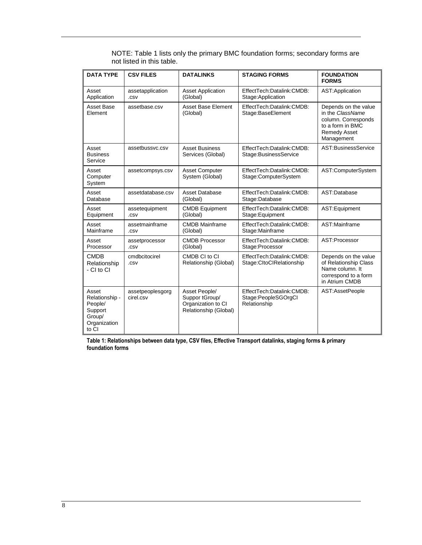| <b>DATA TYPE</b>                                                                 | <b>CSV FILES</b>              | <b>DATALINKS</b>                                                               | <b>STAGING FORMS</b>                                             | <b>FOUNDATION</b><br><b>FORMS</b>                                                                                        |
|----------------------------------------------------------------------------------|-------------------------------|--------------------------------------------------------------------------------|------------------------------------------------------------------|--------------------------------------------------------------------------------------------------------------------------|
| Asset<br>Application                                                             | assetapplication<br>.CSV      | <b>Asset Application</b><br>(Global)                                           | EffectTech:Datalink:CMDB:<br>Stage: Application                  | AST: Application                                                                                                         |
| Asset Base<br>Element                                                            | assetbase.csv                 | <b>Asset Base Element</b><br>(Global)                                          | EffectTech:Datalink:CMDB:<br>Stage:BaseElement                   | Depends on the value<br>in the ClassName<br>column. Corresponds<br>to a form in BMC<br><b>Remedy Asset</b><br>Management |
| Asset<br><b>Business</b><br>Service                                              | assetbussvc.csv               | <b>Asset Business</b><br>Services (Global)                                     | EffectTech:Datalink:CMDB:<br>Stage: Business Service             | AST:BusinessService                                                                                                      |
| Asset<br>Computer<br>System                                                      | assetcompsys.csv              | <b>Asset Computer</b><br>System (Global)                                       | EffectTech:Datalink:CMDB:<br>Stage:ComputerSystem                | AST:ComputerSystem                                                                                                       |
| Asset<br>Database                                                                | assetdatabase.csv             | <b>Asset Database</b><br>(Global)                                              | EffectTech:Datalink:CMDB:<br>Stage:Database                      | AST:Database                                                                                                             |
| Asset<br>Equipment                                                               | assetequipment<br>.CSV        | <b>CMDB Equipment</b><br>(Global)                                              | EffectTech:Datalink:CMDB:<br>Stage: Equipment                    | AST:Equipment                                                                                                            |
| Asset<br>Mainframe                                                               | assetmainframe<br>.csv        | <b>CMDB Mainframe</b><br>(Global)                                              | EffectTech:Datalink:CMDB:<br>Stage:Mainframe                     | AST:Mainframe                                                                                                            |
| Asset<br>Processor                                                               | assetprocessor<br>.csv        | <b>CMDB Processor</b><br>(Global)                                              | EffectTech:Datalink:CMDB:<br>Stage:Processor                     | AST:Processor                                                                                                            |
| <b>CMDB</b><br>Relationship<br>- CI to CI                                        | cmdbcitocirel<br>.csv         | CMDB CI to CI<br>Relationship (Global)                                         | EffectTech:Datalink:CMDB:<br>Stage:CltoClRelationship            | Depends on the value<br>of Relationship Class<br>Name column. It<br>correspond to a form<br>in Atrium CMDB               |
| Asset<br>Relationship -<br>People/<br>Support<br>Group/<br>Organization<br>to CI | assetpeoplesgorg<br>cirel.csv | Asset People/<br>Suppor tGroup/<br>Organization to CI<br>Relationship (Global) | EffectTech:Datalink:CMDB:<br>Stage:PeopleSGOrgCl<br>Relationship | AST:AssetPeople                                                                                                          |

NOTE: Table 1 lists only the primary BMC foundation forms; secondary forms are not listed in this table.

<span id="page-7-0"></span>**Table 1: Relationships between data type, CSV files, Effective Transport datalinks, staging forms & primary foundation forms**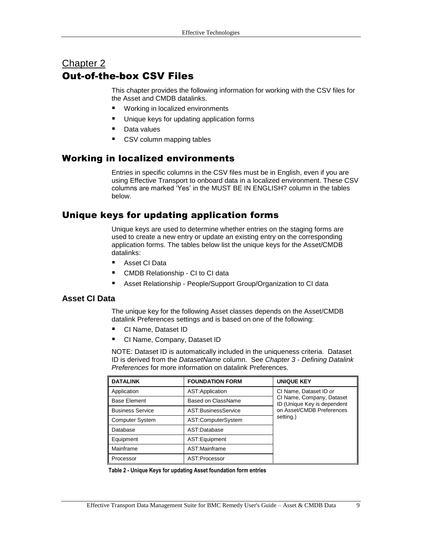# <span id="page-8-0"></span>Chapter 2 Out-of-the-box CSV Files

This chapter provides the following information for working with the CSV files for the Asset and CMDB datalinks.

- **[Working in localized environments](#page-8-1)**
- [Unique keys for updating](#page-8-2) application forms
- **[Data values](#page-9-2)**
- CSV column mapping tables

## <span id="page-8-1"></span>Working in localized environments

Entries in specific columns in the CSV files must be in English, even if you are using Effective Transport to onboard data in a localized environment. These CSV columns are marked 'Yes' in the MUST BE IN ENGLISH? column in the tables below.

## <span id="page-8-2"></span>Unique keys for updating application forms

Unique keys are used to determine whether entries on the staging forms are used to create a new entry or update an existing entry on the corresponding application forms. The tables below list the unique keys for the Asset/CMDB datalinks:

- [Asset CI Data](#page-8-3)
- **[CMDB Relationship -](#page-9-0) CI to CI data**
- **Asset Relationship [People/Support Group/Organization to CI data](#page-9-1)**

#### <span id="page-8-3"></span>**Asset CI Data**

The unique key for the following Asset classes depends on the Asset/CMDB datalink Preferences settings and is based on one of the following:

- CI Name, Dataset ID
- CI Name, Company, Dataset ID

NOTE: Dataset ID is automatically included in the uniqueness criteria. Dataset ID is derived from the *DatasetName* column. See *Chapter 3 - Defining Datalink Preferences* for more information on datalink Preferences.

| <b>DATALINK</b><br><b>FOUNDATION FORM</b>      |                    | <b>UNIQUE KEY</b>                                        |
|------------------------------------------------|--------------------|----------------------------------------------------------|
| Application                                    | AST: Application   | CI Name, Dataset ID or                                   |
| Based on ClassName<br><b>Base Element</b>      |                    | CI Name, Company, Dataset<br>ID (Unique Key is dependent |
| AST:BusinessService<br><b>Business Service</b> |                    | on Asset/CMDB Preferences                                |
| <b>Computer System</b>                         | AST:ComputerSystem | setting.)                                                |
| Database<br>AST:Database                       |                    |                                                          |
| AST:Equipment<br>Equipment                     |                    |                                                          |
| Mainframe<br>AST:Mainframe                     |                    |                                                          |
| Processor                                      | AST:Processor      |                                                          |

**Table 2 - Unique Keys for updating Asset foundation form entries**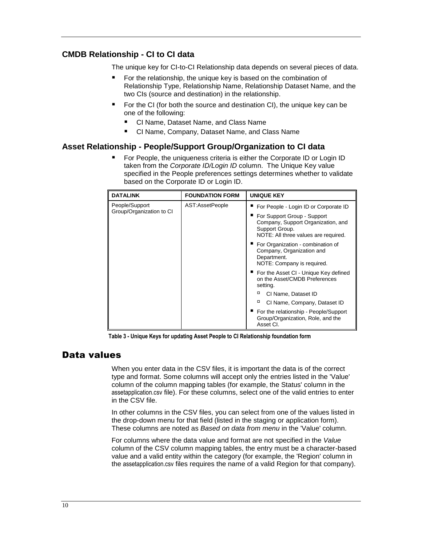#### <span id="page-9-0"></span>**CMDB Relationship - CI to CI data**

The unique key for CI-to-CI Relationship data depends on several pieces of data.

- For the relationship, the unique key is based on the combination of Relationship Type, Relationship Name, Relationship Dataset Name, and the two CIs (source and destination) in the relationship.
- For the CI (for both the source and destination CI), the unique key can be one of the following:
	- CI Name, Dataset Name, and Class Name
	- CI Name, Company, Dataset Name, and Class Name

#### <span id="page-9-1"></span>**Asset Relationship - People/Support Group/Organization to CI data**

 For People, the uniqueness criteria is either the Corporate ID or Login ID taken from the *Corporate ID/Login ID* column. The Unique Key value specified in the People preferences settings determines whether to validate based on the Corporate ID or Login ID.

| <b>DATALINK</b>          | <b>FOUNDATION FORM</b> | <b>UNIQUE KEY</b>                                                                                                             |
|--------------------------|------------------------|-------------------------------------------------------------------------------------------------------------------------------|
| People/Support           | AST:AssetPeople        | For People - Login ID or Corporate ID                                                                                         |
| Group/Organization to CI |                        | ■ For Support Group - Support<br>Company, Support Organization, and<br>Support Group.<br>NOTE: All three values are required. |
|                          |                        | ■ For Organization - combination of<br>Company, Organization and<br>Department.<br>NOTE: Company is required.                 |
|                          |                        | ■ For the Asset CI - Unique Key defined<br>on the Asset/CMDB Preferences<br>setting.                                          |
|                          |                        | о<br>CI Name, Dataset ID                                                                                                      |
|                          |                        | о<br>CI Name, Company, Dataset ID                                                                                             |
|                          |                        | ■ For the relationship - People/Support<br>Group/Organization, Role, and the<br>Asset CI.                                     |

**Table 3 - Unique Keys for updating Asset People to CI Relationship foundation form**

#### <span id="page-9-2"></span>Data values

When you enter data in the CSV files, it is important the data is of the correct type and format. Some columns will accept only the entries listed in the 'Value' column of the column mapping tables (for example, the Status' column in the assetapplication.csv file). For these columns, select one of the valid entries to enter in the CSV file.

In other columns in the CSV files, you can select from one of the values listed in the drop-down menu for that field (listed in the staging or application form). These columns are noted as *Based on data from menu* in the 'Value' column.

For columns where the data value and format are not specified in the *Value* column of the CSV column mapping tables, the entry must be a character-based value and a valid entity within the category (for example, the 'Region' column in the assetapplication.csv files requires the name of a valid Region for that company).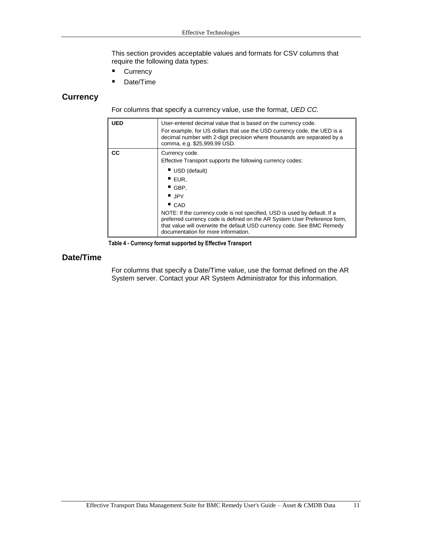This section provides acceptable values and formats for CSV columns that require the following data types:

- **[Currency](#page-10-0)**
- [Date/Time](#page-10-1)

#### <span id="page-10-0"></span>**Currency**

For columns that specify a currency value, use the format, *UED CC.*

| <b>UED</b> | User-entered decimal value that is based on the currency code.<br>For example, for US dollars that use the USD currency code, the UED is a<br>decimal number with 2-digit precision where thousands are separated by a<br>comma, e.g. \$25,999.99 USD.                                                                             |
|------------|------------------------------------------------------------------------------------------------------------------------------------------------------------------------------------------------------------------------------------------------------------------------------------------------------------------------------------|
| CC.        | Currency code.<br>Effective Transport supports the following currency codes:<br>USD (default)<br>$\blacksquare$ EUR.<br>$\blacksquare$ GBP.<br>$\blacksquare$ JPY<br>CAD<br>NOTE: If the currency code is not specified, USD is used by default. If a<br>preferred currency code is defined on the AR System User Preference form, |
|            | that value will overwrite the default USD currency code. See BMC Remedy<br>documentation for more information.                                                                                                                                                                                                                     |

**Table 4 - Currency format supported by Effective Transport**

#### <span id="page-10-1"></span>**Date/Time**

For columns that specify a Date/Time value, use the format defined on the AR System server. Contact your AR System Administrator for this information.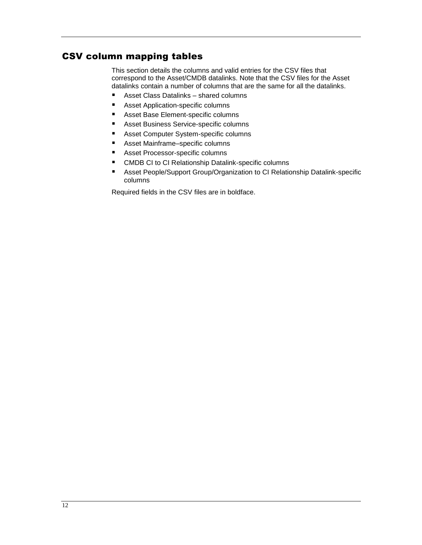## <span id="page-11-0"></span>CSV column mapping tables

This section details the columns and valid entries for the CSV files that correspond to the Asset/CMDB datalinks. Note that the CSV files for the Asset datalinks contain a number of columns that are the same for all the datalinks.

- Asset [Class Datalinks –](#page-12-0) shared columns
- **Asset [Application-specific columns](#page-15-0)**
- [Asset Base Element-specific columns](#page-16-0)
- **[Asset Business Service-specific columns](#page-17-0)**
- **Asset [Computer System-specific columns](#page-18-0)**
- Asset [Mainframe–specific columns](#page-20-0)
- **Asset [Processor-specific columns](#page-22-0)**
- **EXECOMDB CI to CI Relationship Datalink-specific columns**
- Asset [People/Support Group/Organization](#page-29-0) to CI Relationship Datalink-specific [columns](#page-29-0)

Required fields in the CSV files are in boldface.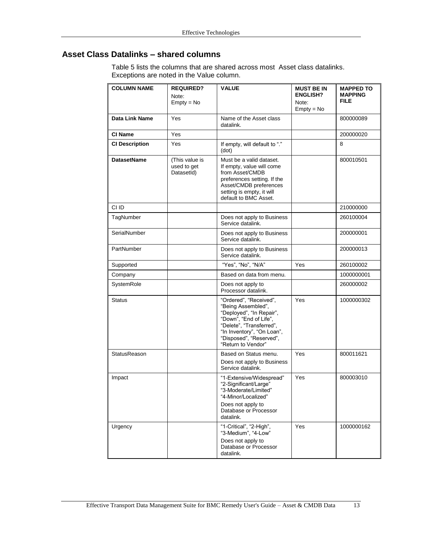# <span id="page-12-0"></span>**Asset Class Datalinks – shared columns**

[Table 5](#page-14-0) lists the columns that are shared across most Asset class datalinks. Exceptions are noted in the Value column.

| <b>COLUMN NAME</b>    | <b>REQUIRED?</b><br>Note:<br>$Empty = No$   | <b>VALUE</b>                                                                                                                                                                                                  | <b>MUST BE IN</b><br><b>ENGLISH?</b><br>Note:<br>$Empty = No$ | <b>MAPPED TO</b><br><b>MAPPING</b><br><b>FILE</b> |
|-----------------------|---------------------------------------------|---------------------------------------------------------------------------------------------------------------------------------------------------------------------------------------------------------------|---------------------------------------------------------------|---------------------------------------------------|
| Data Link Name        | Yes                                         | Name of the Asset class<br>datalink.                                                                                                                                                                          |                                                               | 800000089                                         |
| CI Name               | Yes                                         |                                                                                                                                                                                                               |                                                               | 200000020                                         |
| <b>CI Description</b> | Yes                                         | If empty, will default to "."<br>(dot)                                                                                                                                                                        |                                                               | 8                                                 |
| <b>DatasetName</b>    | (This value is<br>used to get<br>DatasetId) | Must be a valid dataset.<br>If empty, value will come<br>from Asset/CMDB<br>preferences setting. If the<br>Asset/CMDB preferences<br>setting is empty, it will<br>default to BMC Asset.                       |                                                               | 800010501                                         |
| CI ID                 |                                             |                                                                                                                                                                                                               |                                                               | 210000000                                         |
| TagNumber             |                                             | Does not apply to Business<br>Service datalink.                                                                                                                                                               |                                                               | 260100004                                         |
| SerialNumber          |                                             | Does not apply to Business<br>Service datalink.                                                                                                                                                               |                                                               | 200000001                                         |
| PartNumber            |                                             | Does not apply to Business<br>Service datalink.                                                                                                                                                               |                                                               | 200000013                                         |
| Supported             |                                             | "Yes", "No", "N/A"                                                                                                                                                                                            | Yes                                                           | 260100002                                         |
| Company               |                                             | Based on data from menu.                                                                                                                                                                                      |                                                               | 1000000001                                        |
| SystemRole            |                                             | Does not apply to<br>Processor datalink.                                                                                                                                                                      |                                                               | 260000002                                         |
| <b>Status</b>         |                                             | "Ordered", "Received",<br>"Being Assembled",<br>"Deployed", "In Repair",<br>"Down", "End of Life",<br>"Delete", "Transferred",<br>"In Inventory", "On Loan",<br>"Disposed", "Reserved",<br>"Return to Vendor" | Yes                                                           | 1000000302                                        |
| <b>StatusReason</b>   |                                             | Based on Status menu.<br>Does not apply to Business<br>Service datalink.                                                                                                                                      | Yes                                                           | 800011621                                         |
| Impact                |                                             | "1-Extensive/Widespread"<br>"2-Significant/Large"<br>"3-Moderate/Limited"<br>"4-Minor/Localized"<br>Does not apply to<br>Database or Processor<br>datalink.                                                   | Yes                                                           | 800003010                                         |
| Urgency               |                                             | "1-Critical", "2-High",<br>"3-Medium", "4-Low"<br>Does not apply to<br>Database or Processor<br>datalink.                                                                                                     | Yes                                                           | 1000000162                                        |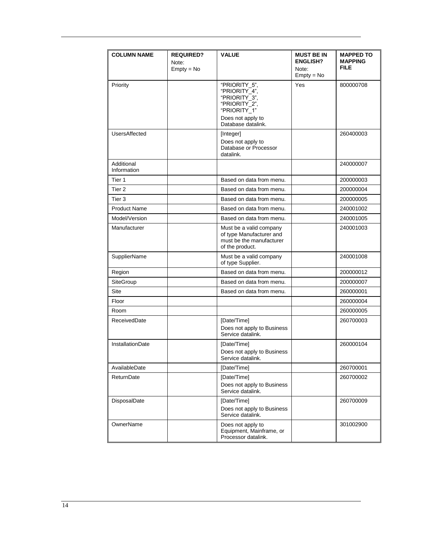| <b>COLUMN NAME</b>        | <b>REQUIRED?</b> | <b>VALUE</b>                                                                                                      | <b>MUST BE IN</b>     | <b>MAPPED TO</b> |
|---------------------------|------------------|-------------------------------------------------------------------------------------------------------------------|-----------------------|------------------|
|                           | Note:            |                                                                                                                   | <b>ENGLISH?</b>       | <b>MAPPING</b>   |
|                           | $Empty = No$     |                                                                                                                   | Note:<br>$Empty = No$ | <b>FILE</b>      |
| Priority                  |                  | "PRIORITY 5",<br>"PRIORITY 4".<br>"PRIORITY 3".<br>"PRIORITY 2",<br>"PRIORITY <sup>-1"</sup><br>Does not apply to | Yes                   | 800000708        |
|                           |                  | Database datalink.                                                                                                |                       |                  |
| UsersAffected             |                  | [Integer]<br>Does not apply to<br>Database or Processor<br>datalink.                                              |                       | 260400003        |
| Additional<br>Information |                  |                                                                                                                   |                       | 240000007        |
| Tier 1                    |                  | Based on data from menu.                                                                                          |                       | 200000003        |
| Tier <sub>2</sub>         |                  | Based on data from menu.                                                                                          |                       | 200000004        |
| Tier 3                    |                  | Based on data from menu.                                                                                          |                       | 200000005        |
| <b>Product Name</b>       |                  | Based on data from menu.                                                                                          |                       | 240001002        |
| Model/Version             |                  | Based on data from menu.                                                                                          |                       | 240001005        |
| Manufacturer              |                  | Must be a valid company<br>of type Manufacturer and<br>must be the manufacturer<br>of the product.                |                       | 240001003        |
| <b>SupplierName</b>       |                  | Must be a valid company<br>of type Supplier.                                                                      |                       | 240001008        |
| Region                    |                  | Based on data from menu.                                                                                          |                       | 200000012        |
| SiteGroup                 |                  | Based on data from menu.                                                                                          |                       | 200000007        |
| <b>Site</b>               |                  | Based on data from menu.                                                                                          |                       | 260000001        |
| Floor                     |                  |                                                                                                                   |                       | 260000004        |
| Room                      |                  |                                                                                                                   |                       | 260000005        |
| ReceivedDate              |                  | [Date/Time]<br>Does not apply to Business<br>Service datalink.                                                    |                       | 260700003        |
| <b>InstallationDate</b>   |                  | [Date/Time]<br>Does not apply to Business<br>Service datalink.                                                    |                       | 260000104        |
| AvailableDate             |                  | [Date/Time]                                                                                                       |                       | 260700001        |
| ReturnDate                |                  | [Date/Time]                                                                                                       |                       | 260700002        |
|                           |                  | Does not apply to Business<br>Service datalink.                                                                   |                       |                  |
| DisposalDate              |                  | [Date/Time]<br>Does not apply to Business<br>Service datalink.                                                    |                       | 260700009        |
| OwnerName                 |                  | Does not apply to<br>Equipment, Mainframe, or<br>Processor datalink.                                              |                       | 301002900        |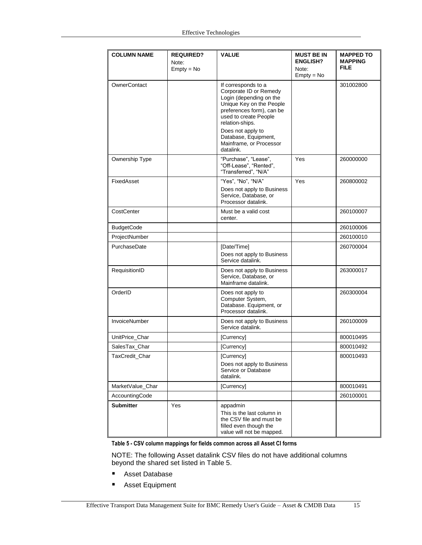| <b>COLUMN NAME</b>   | <b>REQUIRED?</b> | <b>VALUE</b>                                                                                                                                                                                                                                                       | <b>MUST BE IN</b> | <b>MAPPED TO</b> |
|----------------------|------------------|--------------------------------------------------------------------------------------------------------------------------------------------------------------------------------------------------------------------------------------------------------------------|-------------------|------------------|
|                      | Note:            |                                                                                                                                                                                                                                                                    | <b>ENGLISH?</b>   | <b>MAPPING</b>   |
|                      | $Empty = No$     |                                                                                                                                                                                                                                                                    | Note:             | <b>FILE</b>      |
|                      |                  |                                                                                                                                                                                                                                                                    | $Empty = No$      |                  |
| OwnerContact         |                  | If corresponds to a<br>Corporate ID or Remedy<br>Login (depending on the<br>Unique Key on the People<br>preferences form), can be<br>used to create People<br>relation-ships.<br>Does not apply to<br>Database, Equipment,<br>Mainframe, or Processor<br>datalink. |                   | 301002800        |
| Ownership Type       |                  | "Purchase", "Lease",<br>"Off-Lease", "Rented",<br>"Transferred", "N/A"                                                                                                                                                                                             | Yes               | 260000000        |
| FixedAsset           |                  | "Yes", "No", "N/A"<br>Does not apply to Business<br>Service, Database, or<br>Processor datalink.                                                                                                                                                                   | Yes               | 260800002        |
| CostCenter           |                  | Must be a valid cost<br>center.                                                                                                                                                                                                                                    |                   | 260100007        |
| <b>BudgetCode</b>    |                  |                                                                                                                                                                                                                                                                    |                   | 260100006        |
| ProjectNumber        |                  |                                                                                                                                                                                                                                                                    |                   | 260100010        |
| PurchaseDate         |                  | [Date/Time]<br>Does not apply to Business<br>Service datalink.                                                                                                                                                                                                     |                   | 260700004        |
| RequisitionID        |                  | Does not apply to Business<br>Service, Database, or<br>Mainframe datalink.                                                                                                                                                                                         |                   | 263000017        |
| OrderID              |                  | Does not apply to<br>Computer System,<br>Database. Equipment, or<br>Processor datalink.                                                                                                                                                                            |                   | 260300004        |
| <b>InvoiceNumber</b> |                  | Does not apply to Business<br>Service datalink.                                                                                                                                                                                                                    |                   | 260100009        |
| UnitPrice_Char       |                  | [Currency]                                                                                                                                                                                                                                                         |                   | 800010495        |
| SalesTax_Char        |                  | [Currency]                                                                                                                                                                                                                                                         |                   | 800010492        |
| TaxCredit_Char       |                  | [Currency]<br>Does not apply to Business<br>Service or Database<br>datalink.                                                                                                                                                                                       |                   | 800010493        |
| MarketValue_Char     |                  | [Currency]                                                                                                                                                                                                                                                         |                   | 800010491        |
| AccountingCode       |                  |                                                                                                                                                                                                                                                                    |                   | 260100001        |
| <b>Submitter</b>     | Yes              | appadmin<br>This is the last column in<br>the CSV file and must be<br>filled even though the<br>value will not be mapped.                                                                                                                                          |                   |                  |

<span id="page-14-0"></span>**Table 5 - CSV column mappings for fields common across all Asset CI forms**

NOTE: The following Asset datalink CSV files do not have additional columns beyond the shared set listed in [Table 5.](#page-14-0)

- Asset Database
- **Asset Equipment**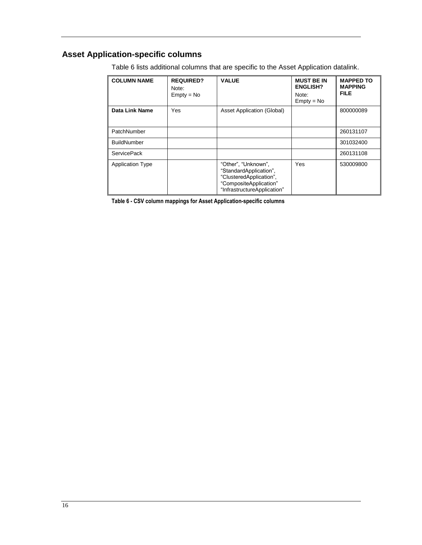# <span id="page-15-0"></span>**Asset Application-specific columns**

| <b>COLUMN NAME</b>      | <b>REQUIRED?</b><br>Note:<br>$Empty = No$ | <b>VALUE</b>                                                                                                                      | <b>MUST BE IN</b><br><b>ENGLISH?</b><br>Note:<br>$Empty = No$ | <b>MAPPED TO</b><br><b>MAPPING</b><br><b>FILE</b> |
|-------------------------|-------------------------------------------|-----------------------------------------------------------------------------------------------------------------------------------|---------------------------------------------------------------|---------------------------------------------------|
| <b>Data Link Name</b>   | Yes                                       | <b>Asset Application (Global)</b>                                                                                                 |                                                               | 800000089                                         |
| PatchNumber             |                                           |                                                                                                                                   |                                                               | 260131107                                         |
| <b>BuildNumber</b>      |                                           |                                                                                                                                   |                                                               | 301032400                                         |
| <b>ServicePack</b>      |                                           |                                                                                                                                   |                                                               | 260131108                                         |
| <b>Application Type</b> |                                           | "Other", "Unknown",<br>"StandardApplication",<br>"ClusteredApplication",<br>"CompositeApplication"<br>"InfrastructureApplication" | Yes                                                           | 530009800                                         |

[Table 6](#page-15-1) lists additional columns that are specific to the Asset Application datalink.

<span id="page-15-1"></span>**Table 6 - CSV column mappings for Asset Application-specific columns**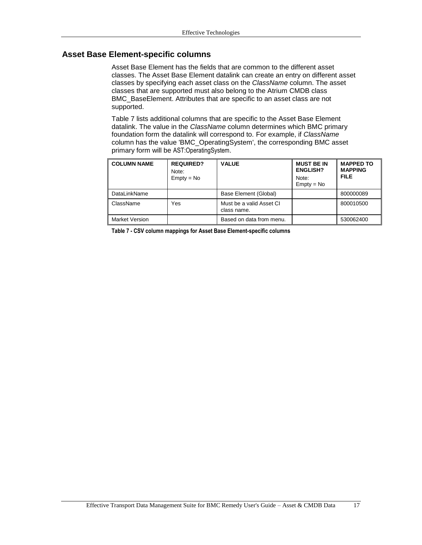#### <span id="page-16-0"></span>**Asset Base Element-specific columns**

Asset Base Element has the fields that are common to the different asset classes. The Asset Base Element datalink can create an entry on different asset classes by specifying each asset class on the *ClassName* column. The asset classes that are supported must also belong to the Atrium CMDB class BMC\_BaseElement. Attributes that are specific to an asset class are not supported.

[Table 7](#page-16-1) lists additional columns that are specific to the Asset Base Element datalink. The value in the *ClassName* column determines which BMC primary foundation form the datalink will correspond to. For example, if *ClassName* column has the value 'BMC\_OperatingSystem', the corresponding BMC asset primary form will be AST:OperatingSystem.

| <b>COLUMN NAME</b>    | <b>REQUIRED?</b><br>Note:<br>$Empty = No$ | <b>VALUE</b>                            | <b>MUST BE IN</b><br><b>ENGLISH?</b><br>Note:<br>$Empty = No$ | <b>MAPPED TO</b><br><b>MAPPING</b><br><b>FILE</b> |
|-----------------------|-------------------------------------------|-----------------------------------------|---------------------------------------------------------------|---------------------------------------------------|
| DataLinkName          |                                           | Base Element (Global)                   |                                                               | 800000089                                         |
| ClassName             | Yes                                       | Must be a valid Asset CI<br>class name. |                                                               | 800010500                                         |
| <b>Market Version</b> |                                           | Based on data from menu.                |                                                               | 530062400                                         |

<span id="page-16-1"></span>**Table 7 - CSV column mappings for Asset Base Element-specific columns**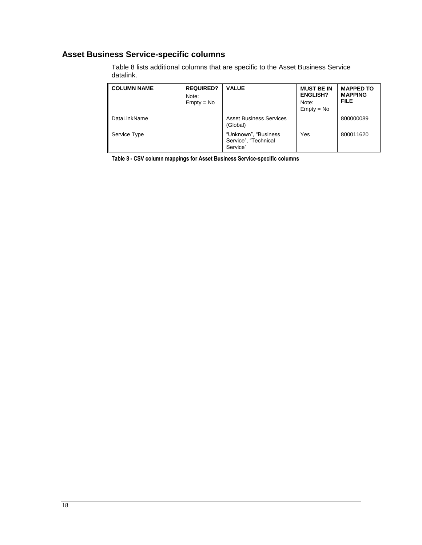# <span id="page-17-0"></span>**Asset Business Service-specific columns**

[Table 8](#page-17-1) lists additional columns that are specific to the Asset Business Service datalink.

| <b>COLUMN NAME</b> | <b>REQUIRED?</b><br>Note:<br>$Empty = No$ | <b>VALUE</b>                                              | <b>MUST BE IN</b><br><b>ENGLISH?</b><br>Note:<br>$Empty = No$ | <b>MAPPED TO</b><br><b>MAPPING</b><br><b>FILE</b> |
|--------------------|-------------------------------------------|-----------------------------------------------------------|---------------------------------------------------------------|---------------------------------------------------|
| DataLinkName       |                                           | <b>Asset Business Services</b><br>(Global)                |                                                               | 800000089                                         |
| Service Type       |                                           | "Unknown", "Business"<br>Service", "Technical<br>Service" | Yes                                                           | 800011620                                         |

<span id="page-17-1"></span>**Table 8 - CSV column mappings for Asset Business Service-specific columns**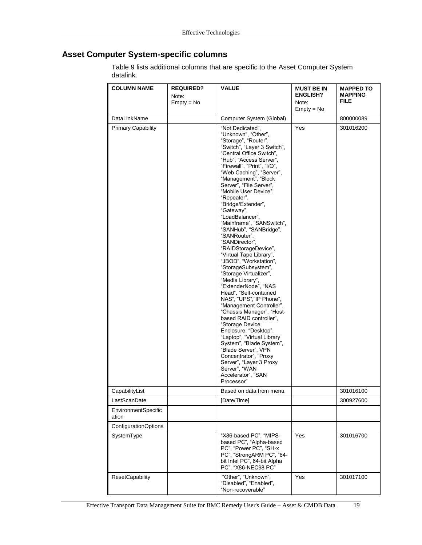# <span id="page-18-0"></span>**Asset Computer System-specific columns**

[Table 9](#page-19-0) lists additional columns that are specific to the Asset Computer System datalink.

| <b>COLUMN NAME</b>           | <b>REQUIRED?</b><br>Note:<br>$Empty = No$ | <b>VALUE</b>                                                                                                                                                                                                                                                                                                                                                                                                                                                                                                                                                                                                                                                                                                                                                                                                                                                                                                                                                                                                          | <b>MUST BE IN</b><br><b>ENGLISH?</b><br>Note:<br>$Empty = No$ | <b>MAPPED TO</b><br><b>MAPPING</b><br><b>FILE</b> |
|------------------------------|-------------------------------------------|-----------------------------------------------------------------------------------------------------------------------------------------------------------------------------------------------------------------------------------------------------------------------------------------------------------------------------------------------------------------------------------------------------------------------------------------------------------------------------------------------------------------------------------------------------------------------------------------------------------------------------------------------------------------------------------------------------------------------------------------------------------------------------------------------------------------------------------------------------------------------------------------------------------------------------------------------------------------------------------------------------------------------|---------------------------------------------------------------|---------------------------------------------------|
| DataLinkName                 |                                           | Computer System (Global)                                                                                                                                                                                                                                                                                                                                                                                                                                                                                                                                                                                                                                                                                                                                                                                                                                                                                                                                                                                              |                                                               | 800000089                                         |
| <b>Primary Capability</b>    |                                           | "Not Dedicated",<br>"Unknown", "Other",<br>"Storage", "Router",<br>"Switch", "Layer 3 Switch",<br>"Central Office Switch",<br>"Hub", "Access Server",<br>"Firewall", "Print", "I/O",<br>"Web Caching", "Server",<br>"Management", "Block<br>Server", "File Server",<br>"Mobile User Device",<br>"Repeater",<br>"Bridge/Extender",<br>"Gateway",<br>"LoadBalancer",<br>"Mainframe", "SANSwitch",<br>"SANHub", "SANBridge",<br>"SANRouter",<br>"SANDirector",<br>"RAIDStorageDevice",<br>"Virtual Tape Library",<br>"JBOD", "Workstation",<br>"StorageSubsystem",<br>"Storage Virtualizer",<br>"Media Library",<br>"ExtenderNode", "NAS<br>Head", "Self-contained<br>NAS", "UPS", "IP Phone",<br>"Management Controller",<br>"Chassis Manager", "Host-<br>based RAID controller".<br>"Storage Device<br>Enclosure, "Desktop",<br>"Laptop", "Virtual Library<br>System", "Blade System",<br>"Blade Server", VPN<br>Concentrator", "Proxy<br>Server", "Layer 3 Proxy<br>Server", "WAN<br>Accelerator", "SAN<br>Processor" | Yes                                                           | 301016200                                         |
| CapabilityList               |                                           | Based on data from menu.                                                                                                                                                                                                                                                                                                                                                                                                                                                                                                                                                                                                                                                                                                                                                                                                                                                                                                                                                                                              |                                                               | 301016100                                         |
| LastScanDate                 |                                           | [Date/Time]                                                                                                                                                                                                                                                                                                                                                                                                                                                                                                                                                                                                                                                                                                                                                                                                                                                                                                                                                                                                           |                                                               | 300927600                                         |
| EnvironmentSpecific<br>ation |                                           |                                                                                                                                                                                                                                                                                                                                                                                                                                                                                                                                                                                                                                                                                                                                                                                                                                                                                                                                                                                                                       |                                                               |                                                   |
| ConfigurationOptions         |                                           |                                                                                                                                                                                                                                                                                                                                                                                                                                                                                                                                                                                                                                                                                                                                                                                                                                                                                                                                                                                                                       |                                                               |                                                   |
| SystemType                   |                                           | "X86-based PC", "MIPS-<br>based PC", "Alpha-based<br>PC", "Power PC", "SH-x<br>PC", "StrongARM PC", "64-<br>bit Intel PC", 64-bit Alpha<br>PC", "X86-NEC98 PC"                                                                                                                                                                                                                                                                                                                                                                                                                                                                                                                                                                                                                                                                                                                                                                                                                                                        | Yes                                                           | 301016700                                         |
| <b>ResetCapability</b>       |                                           | "Other", "Unknown",<br>"Disabled", "Enabled",<br>"Non-recoverable"                                                                                                                                                                                                                                                                                                                                                                                                                                                                                                                                                                                                                                                                                                                                                                                                                                                                                                                                                    | Yes                                                           | 301017100                                         |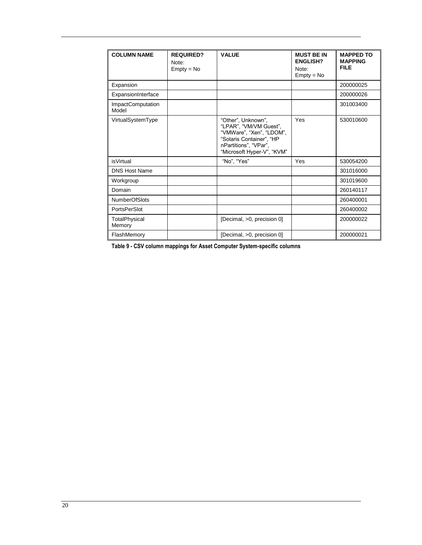| <b>COLUMN NAME</b>         | <b>REQUIRED?</b><br>Note:<br>$Empty = No$ | <b>VALUE</b>                                                                                                                                                | <b>MUST BE IN</b><br><b>ENGLISH?</b><br>Note:<br>$Empty = No$ | <b>MAPPED TO</b><br><b>MAPPING</b><br><b>FILE</b> |
|----------------------------|-------------------------------------------|-------------------------------------------------------------------------------------------------------------------------------------------------------------|---------------------------------------------------------------|---------------------------------------------------|
| Expansion                  |                                           |                                                                                                                                                             |                                                               | 200000025                                         |
| ExpansionInterface         |                                           |                                                                                                                                                             |                                                               | 200000026                                         |
| ImpactComputation<br>Model |                                           |                                                                                                                                                             |                                                               | 301003400                                         |
| VirtualSystemType          |                                           | "Other", Unknown",<br>"LPAR", "VM/VM Guest",<br>"VMWare", "Xen", "LDOM",<br>"Solaris Container", "HP<br>nPartitions", "VPar",<br>"Microsoft Hyper-V", "KVM" | Yes                                                           | 530010600                                         |
| <i>is</i> Virtual          |                                           | "No", "Yes"                                                                                                                                                 | Yes                                                           | 530054200                                         |
| <b>DNS Host Name</b>       |                                           |                                                                                                                                                             |                                                               | 301016000                                         |
| Workgroup                  |                                           |                                                                                                                                                             |                                                               | 301019600                                         |
| Domain                     |                                           |                                                                                                                                                             |                                                               | 260140117                                         |
| <b>NumberOfSlots</b>       |                                           |                                                                                                                                                             |                                                               | 260400001                                         |
| <b>PortsPerSlot</b>        |                                           |                                                                                                                                                             |                                                               | 260400002                                         |
| TotalPhysical<br>Memory    |                                           | [Decimal, >0, precision 0]                                                                                                                                  |                                                               | 200000022                                         |
| FlashMemory                |                                           | [Decimal, >0, precision 0]                                                                                                                                  |                                                               | 200000021                                         |

<span id="page-19-0"></span>**Table 9 - CSV column mappings for Asset Computer System-specific columns**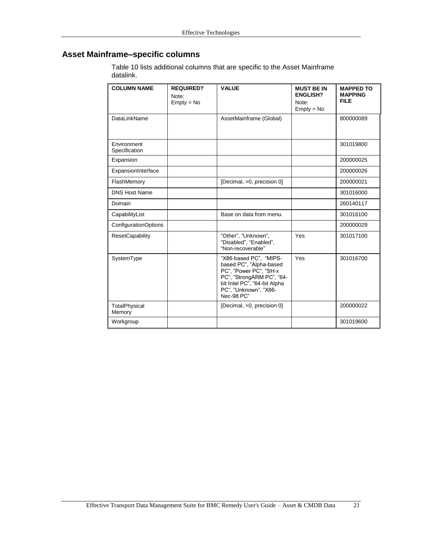# <span id="page-20-0"></span>**Asset Mainframe–specific columns**

[Table 10](#page-21-0) lists additional columns that are specific to the Asset Mainframe datalink.

| <b>COLUMN NAME</b>           | <b>REQUIRED?</b><br>Note:<br>$Empty = No$ | <b>VALUE</b>                                                                                                                                                                    | <b>MUST BE IN</b><br><b>ENGLISH?</b><br>Note:<br>$Empty = No$ | <b>MAPPED TO</b><br><b>MAPPING</b><br><b>FILE</b> |
|------------------------------|-------------------------------------------|---------------------------------------------------------------------------------------------------------------------------------------------------------------------------------|---------------------------------------------------------------|---------------------------------------------------|
| DataLinkName                 |                                           | AssetMainframe (Global)                                                                                                                                                         |                                                               | 800000089                                         |
| Environment<br>Specification |                                           |                                                                                                                                                                                 |                                                               | 301019800                                         |
| Expansion                    |                                           |                                                                                                                                                                                 |                                                               | 200000025                                         |
| ExpansionInterface           |                                           |                                                                                                                                                                                 |                                                               | 200000026                                         |
| FlashMemory                  |                                           | [Decimal, >0, precision 0]                                                                                                                                                      |                                                               | 200000021                                         |
| <b>DNS Host Name</b>         |                                           |                                                                                                                                                                                 |                                                               | 301016000                                         |
| Domain                       |                                           |                                                                                                                                                                                 |                                                               | 260140117                                         |
| CapabilityList               |                                           | Base on data from menu.                                                                                                                                                         |                                                               | 301016100                                         |
| ConfigurationOptions         |                                           |                                                                                                                                                                                 |                                                               | 200000029                                         |
| <b>ResetCapability</b>       |                                           | "Other", "Unknown",<br>"Disabled", "Enabled",<br>"Non-recoverable"                                                                                                              | Yes                                                           | 301017100                                         |
| SystemType                   |                                           | "X86-based PC", "MIPS-<br>based PC", "Alpha-based<br>PC", "Power PC", "SH-x<br>PC", "StrongARM PC", "64-<br>bit Intel PC", "64-bit Alpha<br>PC", "Unknown", "X86-<br>Nec-98 PC" | Yes                                                           | 301016700                                         |
| TotalPhysical<br>Memory      |                                           | [Decimal, >0, precision 0]                                                                                                                                                      |                                                               | 200000022                                         |
| Workgroup                    |                                           |                                                                                                                                                                                 |                                                               | 301019600                                         |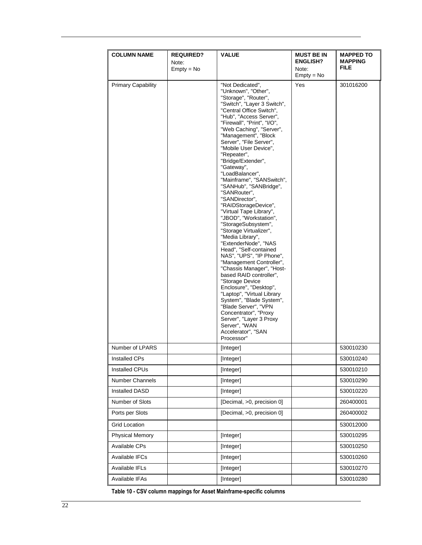| <b>COLUMN NAME</b>        | <b>REQUIRED?</b> | <b>VALUE</b>                                                                                                                                                                                                                                                                                                                                                                                                                                                                                                                                                                                                                                                                                                                                                                                                                                                                                                                                                                                                            | <b>MUST BE IN</b>     | <b>MAPPED TO</b> |
|---------------------------|------------------|-------------------------------------------------------------------------------------------------------------------------------------------------------------------------------------------------------------------------------------------------------------------------------------------------------------------------------------------------------------------------------------------------------------------------------------------------------------------------------------------------------------------------------------------------------------------------------------------------------------------------------------------------------------------------------------------------------------------------------------------------------------------------------------------------------------------------------------------------------------------------------------------------------------------------------------------------------------------------------------------------------------------------|-----------------------|------------------|
|                           | Note:            |                                                                                                                                                                                                                                                                                                                                                                                                                                                                                                                                                                                                                                                                                                                                                                                                                                                                                                                                                                                                                         | <b>ENGLISH?</b>       | MAPPING<br>FILE. |
|                           | $Empty = No$     |                                                                                                                                                                                                                                                                                                                                                                                                                                                                                                                                                                                                                                                                                                                                                                                                                                                                                                                                                                                                                         | Note:<br>$Empty = No$ |                  |
| <b>Primary Capability</b> |                  | "Not Dedicated",<br>"Unknown", "Other",<br>"Storage", "Router",<br>"Switch", "Layer 3 Switch",<br>"Central Office Switch",<br>"Hub", "Access Server",<br>"Firewall", "Print", "I/O",<br>"Web Caching", "Server",<br>"Management", "Block<br>Server", "File Server",<br>"Mobile User Device",<br>"Repeater",<br>"Bridge/Extender",<br>"Gateway",<br>"LoadBalancer",<br>"Mainframe", "SANSwitch",<br>"SANHub", "SANBridge",<br>"SANRouter",<br>"SANDirector".<br>"RAIDStorageDevice",<br>"Virtual Tape Library",<br>"JBOD", "Workstation",<br>"StorageSubsystem",<br>"Storage Virtualizer",<br>"Media Library",<br>"ExtenderNode", "NAS<br>Head", "Self-contained<br>NAS", "UPS", "IP Phone",<br>"Management Controller",<br>"Chassis Manager", "Host-<br>based RAID controller",<br>"Storage Device<br>Enclosure", "Desktop",<br>"Laptop", "Virtual Library<br>System", "Blade System",<br>"Blade Server", "VPN<br>Concentrator", "Proxy<br>Server", "Layer 3 Proxy<br>Server", "WAN<br>Accelerator", "SAN<br>Processor" | <b>Yes</b>            | 301016200        |
| Number of LPARS           |                  | [Integer]                                                                                                                                                                                                                                                                                                                                                                                                                                                                                                                                                                                                                                                                                                                                                                                                                                                                                                                                                                                                               |                       | 530010230        |
| <b>Installed CPs</b>      |                  | [Integer]                                                                                                                                                                                                                                                                                                                                                                                                                                                                                                                                                                                                                                                                                                                                                                                                                                                                                                                                                                                                               |                       | 530010240        |
| Installed CPUs            |                  | [Integer]                                                                                                                                                                                                                                                                                                                                                                                                                                                                                                                                                                                                                                                                                                                                                                                                                                                                                                                                                                                                               |                       | 530010210        |
| Number Channels           |                  | [Integer]                                                                                                                                                                                                                                                                                                                                                                                                                                                                                                                                                                                                                                                                                                                                                                                                                                                                                                                                                                                                               |                       | 530010290        |
| Installed DASD            |                  | [Integer]                                                                                                                                                                                                                                                                                                                                                                                                                                                                                                                                                                                                                                                                                                                                                                                                                                                                                                                                                                                                               |                       | 530010220        |
| Number of Slots           |                  | [Decimal, >0, precision 0]                                                                                                                                                                                                                                                                                                                                                                                                                                                                                                                                                                                                                                                                                                                                                                                                                                                                                                                                                                                              |                       | 260400001        |
| Ports per Slots           |                  | [Decimal, >0, precision 0]                                                                                                                                                                                                                                                                                                                                                                                                                                                                                                                                                                                                                                                                                                                                                                                                                                                                                                                                                                                              |                       | 260400002        |
| <b>Grid Location</b>      |                  |                                                                                                                                                                                                                                                                                                                                                                                                                                                                                                                                                                                                                                                                                                                                                                                                                                                                                                                                                                                                                         |                       | 530012000        |
| <b>Physical Memory</b>    |                  | [Integer]                                                                                                                                                                                                                                                                                                                                                                                                                                                                                                                                                                                                                                                                                                                                                                                                                                                                                                                                                                                                               |                       | 530010295        |
| Available CPs             |                  | [Integer]                                                                                                                                                                                                                                                                                                                                                                                                                                                                                                                                                                                                                                                                                                                                                                                                                                                                                                                                                                                                               |                       | 530010250        |
| Available IFCs            |                  | [Integer]                                                                                                                                                                                                                                                                                                                                                                                                                                                                                                                                                                                                                                                                                                                                                                                                                                                                                                                                                                                                               |                       | 530010260        |
| Available IFLs            |                  | [Integer]                                                                                                                                                                                                                                                                                                                                                                                                                                                                                                                                                                                                                                                                                                                                                                                                                                                                                                                                                                                                               |                       | 530010270        |
| Available IFAs            |                  | [Integer]                                                                                                                                                                                                                                                                                                                                                                                                                                                                                                                                                                                                                                                                                                                                                                                                                                                                                                                                                                                                               |                       | 530010280        |

<span id="page-21-0"></span>**Table 10 - CSV column mappings for Asset Mainframe-specific columns**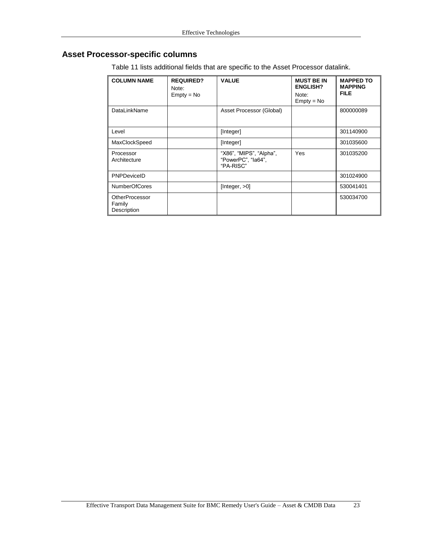# <span id="page-22-0"></span>**Asset Processor-specific columns**

| <b>COLUMN NAME</b>                             | <b>REQUIRED?</b><br>Note:<br>$Empty = No$ | <b>VALUE</b>                                               | <b>MUST BE IN</b><br><b>ENGLISH?</b><br>Note:<br>$Empty = No$ | <b>MAPPED TO</b><br><b>MAPPING</b><br><b>FILE</b> |
|------------------------------------------------|-------------------------------------------|------------------------------------------------------------|---------------------------------------------------------------|---------------------------------------------------|
| DataLinkName                                   |                                           | Asset Processor (Global)                                   |                                                               | 800000089                                         |
| Level                                          |                                           | [Integer]                                                  |                                                               | 301140900                                         |
| MaxClockSpeed                                  |                                           | [Integer]                                                  |                                                               | 301035600                                         |
| Processor<br>Architecture                      |                                           | "X86", "MIPS", "Alpha",<br>"PowerPC", "la64",<br>"PA-RISC" | Yes                                                           | 301035200                                         |
| PNPDeviceID                                    |                                           |                                                            |                                                               | 301024900                                         |
| <b>NumberOfCores</b>                           |                                           | [Integer, $>0$ ]                                           |                                                               | 530041401                                         |
| <b>OtherProcessor</b><br>Family<br>Description |                                           |                                                            |                                                               | 530034700                                         |

[Table 11](#page-24-0) lists additional fields that are specific to the Asset Processor datalink.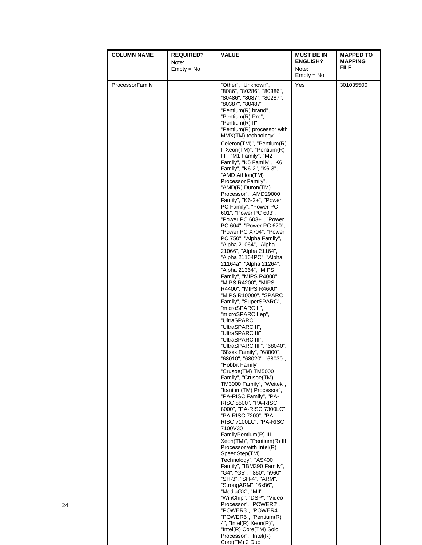|                 | $Empty = No$                                                                                                                                                                                                                                                                                                                                                                                                                                                                                                                                                                                                                                                                                                                                                                                                                                                                                                                                                                                                                                                                                                                                                                                                                                                                                                                                                                                                                                                                                                                                                                                                                                                                                             | Note:<br>$Empty = No$ | <b>MAPPING</b><br><b>FILE</b> |
|-----------------|----------------------------------------------------------------------------------------------------------------------------------------------------------------------------------------------------------------------------------------------------------------------------------------------------------------------------------------------------------------------------------------------------------------------------------------------------------------------------------------------------------------------------------------------------------------------------------------------------------------------------------------------------------------------------------------------------------------------------------------------------------------------------------------------------------------------------------------------------------------------------------------------------------------------------------------------------------------------------------------------------------------------------------------------------------------------------------------------------------------------------------------------------------------------------------------------------------------------------------------------------------------------------------------------------------------------------------------------------------------------------------------------------------------------------------------------------------------------------------------------------------------------------------------------------------------------------------------------------------------------------------------------------------------------------------------------------------|-----------------------|-------------------------------|
| ProcessorFamily | "Other", "Unknown",<br>"8086", "80286", "80386",<br>"80486", "8087", "80287",<br>"80387", "80487",<br>"Pentium(R) brand",<br>"Pentium(R) Pro",<br>"Pentium(R) II",<br>"Pentium(R) processor with<br>MMX(TM) technology", "<br>Celeron(TM)", "Pentium(R)<br>II Xeon(TM)", "Pentium(R)<br>III", "M1 Family", "M2<br>Family", "K5 Family", "K6<br>Family", "K6-2", "K6-3",<br>"AMD Athlon(TM)<br>Processor Family",<br>"AMD(R) Duron(TM)<br>Processor", "AMD29000<br>Family", "K6-2+", "Power<br>PC Family", "Power PC<br>601", "Power PC 603",<br>"Power PC 603+", "Power<br>PC 604", "Power PC 620",<br>"Power PC X704", "Power<br>PC 750", "Alpha Family",<br>"Alpha 21064", "Alpha<br>21066", "Alpha 21164",<br>"Alpha 21164PC", "Alpha<br>21164a", "Alpha 21264",<br>"Alpha 21364", "MIPS<br>Family", "MIPS R4000",<br>"MIPS R4200", "MIPS<br>R4400", "MIPS R4600",<br>"MIPS R10000", "SPARC<br>Family", "SuperSPARC",<br>"microSPARC II",<br>"microSPARC IIep",<br>"UltraSPARC",<br>"UltraSPARC II",<br>"UltraSPARC IIi",<br>"UltraSPARC III",<br>"UltraSPARC IIIi", "68040",<br>"68xxx Family", "68000",<br>"68010", "68020", "68030",<br>"Hobbit Family",<br>"Crusoe(TM) TM5000<br>Family", "Crusoe(TM)<br>TM3000 Family", "Weitek",<br>"Itanium(TM) Processor",<br>"PA-RISC Family", "PA-<br>RISC 8500", "PA-RISC<br>8000", "PA-RISC 7300LC",<br>"PA-RISC 7200", "PA-<br>RISC 7100LC", "PA-RISC<br>7100V30<br>FamilyPentium(R) III<br>Xeon(TM)", "Pentium(R) III<br>Processor with Intel(R)<br>SpeedStep(TM)<br>Technology", "AS400<br>Family", "IBM390 Family",<br>"G4", "G5", "i860", "i960",<br>"SH-3", "SH-4", "ARM",<br>"StrongARM", "6x86",<br>"MediaGX", "MII",<br>"WinChip", "DSP", "Video | Yes                   | 301035500                     |

 $\overline{24}$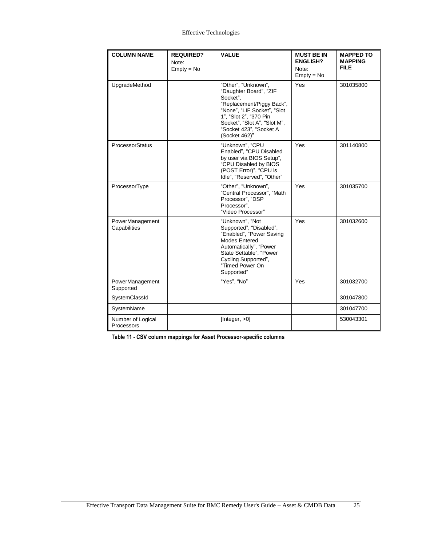| <b>COLUMN NAME</b>              | <b>REQUIRED?</b><br>Note:<br>$Empty = No$ | <b>VALUE</b>                                                                                                                                                                                                                | <b>MUST BE IN</b><br><b>ENGLISH?</b><br>Note:<br>$Empty = No$ | <b>MAPPED TO</b><br><b>MAPPING</b><br><b>FILE</b> |
|---------------------------------|-------------------------------------------|-----------------------------------------------------------------------------------------------------------------------------------------------------------------------------------------------------------------------------|---------------------------------------------------------------|---------------------------------------------------|
| UpgradeMethod                   |                                           | "Other", "Unknown",<br>"Daughter Board", "ZIF<br>Socket".<br>"Replacement/Piggy Back",<br>"None", "LIF Socket", "Slot<br>1", "Slot 2", "370 Pin<br>Socket", "Slot A", "Slot M",<br>"Socket 423", "Socket A<br>(Socket 462)" | Yes                                                           | 301035800                                         |
| ProcessorStatus                 |                                           | "Unknown", "CPU<br>Enabled", "CPU Disabled<br>by user via BIOS Setup",<br>"CPU Disabled by BIOS<br>(POST Error)", "CPU is<br>Idle", "Reserved", "Other"                                                                     | Yes                                                           | 301140800                                         |
| ProcessorType                   |                                           | "Other", "Unknown",<br>"Central Processor", "Math<br>Processor", "DSP<br>Processor".<br>"Video Processor"                                                                                                                   | Yes                                                           | 301035700                                         |
| PowerManagement<br>Capabilities |                                           | "Unknown", "Not<br>Supported", "Disabled",<br>"Enabled", "Power Saving<br><b>Modes Entered</b><br>Automatically", "Power<br>State Settable", "Power<br>Cycling Supported",<br>"Timed Power On<br>Supported"                 | Yes                                                           | 301032600                                         |
| PowerManagement<br>Supported    |                                           | "Yes", "No"                                                                                                                                                                                                                 | Yes                                                           | 301032700                                         |
| SystemClassId                   |                                           |                                                                                                                                                                                                                             |                                                               | 301047800                                         |
| SystemName                      |                                           |                                                                                                                                                                                                                             |                                                               | 301047700                                         |
| Number of Logical<br>Processors |                                           | [Integer, >0]                                                                                                                                                                                                               |                                                               | 530043301                                         |

<span id="page-24-0"></span>**Table 11 - CSV column mappings for Asset Processor-specific columns**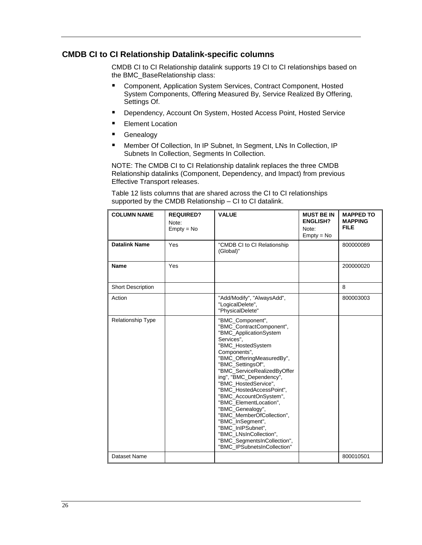#### <span id="page-25-0"></span>**CMDB CI to CI Relationship Datalink-specific columns**

CMDB CI to CI Relationship datalink supports 19 CI to CI relationships based on the BMC\_BaseRelationship class:

- Component, Application System Services, Contract Component, Hosted System Components, Offering Measured By, Service Realized By Offering, Settings Of.
- **Dependency, Account On System, Hosted Access Point, Hosted Service**
- **Element Location**
- **Genealogy**
- Member Of Collection, In IP Subnet, In Segment, LNs In Collection, IP Subnets In Collection, Segments In Collection.

NOTE: The CMDB CI to CI Relationship datalink replaces the three CMDB Relationship datalinks (Component, Dependency, and Impact) from previous Effective Transport releases.

[Table 12](#page-28-0) lists columns that are shared across the CI to CI relationships supported by the CMDB Relationship – CI to CI datalink.

| <b>COLUMN NAME</b>       | <b>REQUIRED?</b><br>Note:<br>$Empty = No$ | <b>VALUE</b>                                                                                                                                                                                                                                                                                                                                                                                                                                                                                                                    | <b>MUST BE IN</b><br><b>ENGLISH?</b><br>Note:<br>$Empty = No$ | <b>MAPPED TO</b><br><b>MAPPING</b><br><b>FILE</b> |
|--------------------------|-------------------------------------------|---------------------------------------------------------------------------------------------------------------------------------------------------------------------------------------------------------------------------------------------------------------------------------------------------------------------------------------------------------------------------------------------------------------------------------------------------------------------------------------------------------------------------------|---------------------------------------------------------------|---------------------------------------------------|
| <b>Datalink Name</b>     | Yes                                       | "CMDB CI to CI Relationship<br>(Global)"                                                                                                                                                                                                                                                                                                                                                                                                                                                                                        |                                                               | 800000089                                         |
| <b>Name</b>              | Yes                                       |                                                                                                                                                                                                                                                                                                                                                                                                                                                                                                                                 |                                                               | 200000020                                         |
| Short Description        |                                           |                                                                                                                                                                                                                                                                                                                                                                                                                                                                                                                                 |                                                               | 8                                                 |
| Action                   |                                           | "Add/Modify", "AlwaysAdd",<br>"LogicalDelete",<br>"PhysicalDelete"                                                                                                                                                                                                                                                                                                                                                                                                                                                              |                                                               | 800003003                                         |
| <b>Relationship Type</b> |                                           | "BMC_Component",<br>"BMC ContractComponent",<br>"BMC_ApplicationSystem<br>Services".<br>"BMC_HostedSystem<br>Components",<br>"BMC_OfferingMeasuredBy",<br>"BMC_SettingsOf",<br>"BMC ServiceRealizedByOffer<br>ing", "BMC_Dependency",<br>"BMC HostedService",<br>"BMC HostedAccessPoint",<br>"BMC_AccountOnSystem",<br>"BMC ElementLocation",<br>"BMC_Genealogy",<br>"BMC_MemberOfCollection",<br>"BMC_InSegment",<br>"BMC_InIPSubnet",<br>"BMC_LNsInCollection",<br>"BMC_SegmentsInCollection",<br>"BMC IPSubnetsInCollection" |                                                               |                                                   |
| Dataset Name             |                                           |                                                                                                                                                                                                                                                                                                                                                                                                                                                                                                                                 |                                                               | 800010501                                         |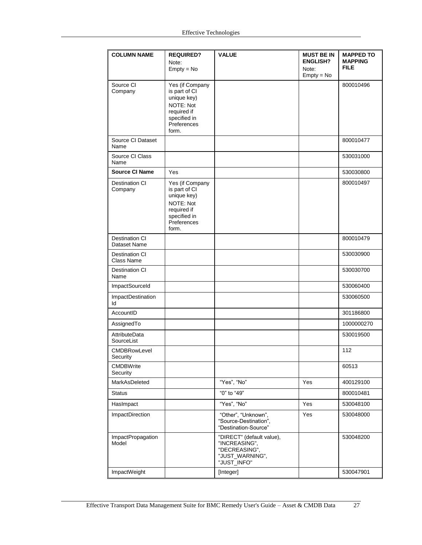| <b>COLUMN NAME</b>               | <b>REQUIRED?</b>                                                                                                    | <b>VALUE</b>                                                                                  | <b>MUST BE IN</b>        | <b>MAPPED TO</b>              |
|----------------------------------|---------------------------------------------------------------------------------------------------------------------|-----------------------------------------------------------------------------------------------|--------------------------|-------------------------------|
|                                  | Note:<br>$Empty = No$                                                                                               |                                                                                               | <b>ENGLISH?</b><br>Note: | <b>MAPPING</b><br><b>FILE</b> |
|                                  |                                                                                                                     |                                                                                               | $Empty = No$             |                               |
| Source CI<br>Company             | Yes (if Company<br>is part of CI<br>unique key)<br>NOTE: Not<br>required if<br>specified in<br>Preferences<br>form. |                                                                                               |                          | 800010496                     |
| Source CI Dataset<br>Name        |                                                                                                                     |                                                                                               |                          | 800010477                     |
| Source CI Class<br>Name          |                                                                                                                     |                                                                                               |                          | 530031000                     |
| <b>Source CI Name</b>            | Yes                                                                                                                 |                                                                                               |                          | 530030800                     |
| <b>Destination CI</b><br>Company | Yes (if Company<br>is part of CI<br>unique key)<br>NOTE: Not<br>required if<br>specified in<br>Preferences<br>form. |                                                                                               |                          | 800010497                     |
| Destination CI<br>Dataset Name   |                                                                                                                     |                                                                                               |                          | 800010479                     |
| Destination CI<br>Class Name     |                                                                                                                     |                                                                                               |                          | 530030900                     |
| Destination CI<br>Name           |                                                                                                                     |                                                                                               |                          | 530030700                     |
| ImpactSourceId                   |                                                                                                                     |                                                                                               |                          | 530060400                     |
| <b>ImpactDestination</b><br>ld   |                                                                                                                     |                                                                                               |                          | 530060500                     |
| AccountID                        |                                                                                                                     |                                                                                               |                          | 301186800                     |
| AssignedTo                       |                                                                                                                     |                                                                                               |                          | 1000000270                    |
| AttributeData<br>SourceList      |                                                                                                                     |                                                                                               |                          | 530019500                     |
| <b>CMDBRowLevel</b><br>Security  |                                                                                                                     |                                                                                               |                          | 112                           |
| <b>CMDBWrite</b><br>Security     |                                                                                                                     |                                                                                               |                          | 60513                         |
| MarkAsDeleted                    |                                                                                                                     | "Yes", "No"                                                                                   | Yes                      | 400129100                     |
| <b>Status</b>                    |                                                                                                                     | "0" to "49"                                                                                   |                          | 800010481                     |
| HasImpact                        |                                                                                                                     | "Yes", "No"                                                                                   | Yes                      | 530048100                     |
| <b>ImpactDirection</b>           |                                                                                                                     | "Other", "Unknown",<br>"Source-Destination",<br>"Destination-Source"                          | Yes                      | 530048000                     |
| ImpactPropagation<br>Model       |                                                                                                                     | "DIRECT" (default value),<br>"INCREASING",<br>"DECREASING",<br>"JUST_WARNING",<br>"JUST_INFO" |                          | 530048200                     |
| ImpactWeight                     |                                                                                                                     | [Integer]                                                                                     |                          | 530047901                     |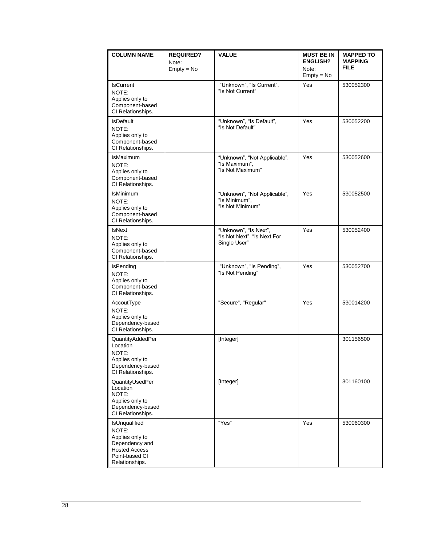| <b>COLUMN NAME</b>                                                                                                      | <b>REQUIRED?</b>      | <b>VALUE</b>                                                         | <b>MUST BE IN</b>                        | <b>MAPPED TO</b>              |
|-------------------------------------------------------------------------------------------------------------------------|-----------------------|----------------------------------------------------------------------|------------------------------------------|-------------------------------|
|                                                                                                                         | Note:<br>$Empty = No$ |                                                                      | <b>ENGLISH?</b><br>Note:<br>$Empty = No$ | <b>MAPPING</b><br><b>FILE</b> |
| <b>IsCurrent</b><br>NOTE:<br>Applies only to<br>Component-based<br>CI Relationships.                                    |                       | "Unknown", "Is Current",<br>"Is Not Current"                         | Yes                                      | 530052300                     |
| <b>IsDefault</b><br>NOTE:<br>Applies only to<br>Component-based<br>CI Relationships.                                    |                       | "Unknown", "Is Default",<br>"Is Not Default"                         | Yes                                      | 530052200                     |
| <b>IsMaximum</b><br>NOTE:<br>Applies only to<br>Component-based<br>CI Relationships.                                    |                       | "Unknown", "Not Applicable",<br>"Is Maximum",<br>"Is Not Maximum"    | Yes                                      | 530052600                     |
| <b>IsMinimum</b><br>NOTE:<br>Applies only to<br>Component-based<br>CI Relationships.                                    |                       | "Unknown", "Not Applicable",<br>"Is Minimum",<br>"Is Not Minimum"    | Yes                                      | 530052500                     |
| <b>IsNext</b><br>NOTE:<br>Applies only to<br>Component-based<br>CI Relationships.                                       |                       | "Unknown", "Is Next",<br>"Is Not Next", "Is Next For<br>Single User" | Yes                                      | 530052400                     |
| <b>IsPending</b><br>NOTE:<br>Applies only to<br>Component-based<br>CI Relationships.                                    |                       | "Unknown", "Is Pending",<br>"Is Not Pending"                         | Yes                                      | 530052700                     |
| AccoutType<br>NOTE:<br>Applies only to<br>Dependency-based<br>CI Relationships.                                         |                       | "Secure", "Regular"                                                  | Yes                                      | 530014200                     |
| QuantityAddedPer<br>Location<br>NOTE:<br>Applies only to<br>Dependency-based<br>CI Relationships.                       |                       | [Integer]                                                            |                                          | 301156500                     |
| QuantityUsedPer<br>Location<br>NOTE:<br>Applies only to<br>Dependency-based<br>CI Relationships.                        |                       | [Integer]                                                            |                                          | 301160100                     |
| IsUnqualified<br>NOTE:<br>Applies only to<br>Dependency and<br><b>Hosted Access</b><br>Point-based CI<br>Relationships. |                       | "Yes"                                                                | Yes                                      | 530060300                     |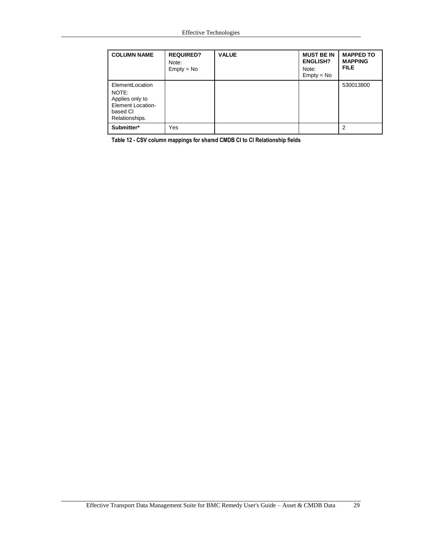| <b>COLUMN NAME</b>                                                                                    | <b>REQUIRED?</b><br>Note:<br>$Empty = No$ | <b>VALUE</b> | <b>MUST BE IN</b><br><b>ENGLISH?</b><br>Note:<br>$Empty = No$ | <b>MAPPED TO</b><br><b>MAPPING</b><br><b>FILE</b> |
|-------------------------------------------------------------------------------------------------------|-------------------------------------------|--------------|---------------------------------------------------------------|---------------------------------------------------|
| ElementLocation<br>NOTE:<br>Applies only to<br><b>Element Location-</b><br>based CI<br>Relationships. |                                           |              |                                                               | 530013800                                         |
| Submitter*                                                                                            | Yes                                       |              |                                                               | 2                                                 |

<span id="page-28-0"></span>**Table 12 - CSV column mappings for shared CMDB CI to CI Relationship fields**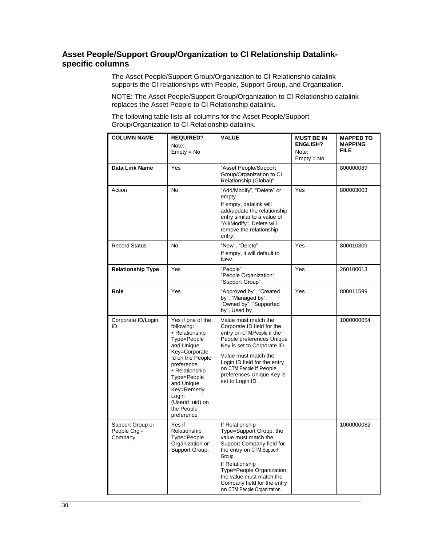## <span id="page-29-0"></span>**Asset People/Support Group/Organization to CI Relationship Datalinkspecific columns**

The Asset People/Support Group/Organization to CI Relationship datalink supports the CI relationships with People, Support Group, and Organization.

NOTE: The Asset People/Support Group/Organization to CI Relationship datalink replaces the Asset People to CI Relationship datalink.

The following table lists all columns for the Asset People/Support Group/Organization to CI Relationship datalink.

| <b>COLUMN NAME</b>                          | <b>REQUIRED?</b><br>Note:<br>$Empty = No$                                                                                                                                                                                                              | <b>VALUE</b>                                                                                                                                                                                                                                                                     | <b>MUST BE IN</b><br><b>ENGLISH?</b><br>Note:<br>$Empty = No$ | <b>MAPPED TO</b><br><b>MAPPING</b><br><b>FILE</b> |
|---------------------------------------------|--------------------------------------------------------------------------------------------------------------------------------------------------------------------------------------------------------------------------------------------------------|----------------------------------------------------------------------------------------------------------------------------------------------------------------------------------------------------------------------------------------------------------------------------------|---------------------------------------------------------------|---------------------------------------------------|
| Data Link Name                              | Yes                                                                                                                                                                                                                                                    | "Asset People/Support<br>Group/Organization to CI<br>Relationship (Global)"                                                                                                                                                                                                      |                                                               | 800000089                                         |
| Action                                      | No                                                                                                                                                                                                                                                     | "Add/Modify", "Delete" or<br>empty<br>If empty, datalink will<br>add/update the relationship<br>entry similar to a value of<br>"All/Modify". Delete will<br>remove the relationship<br>entry.                                                                                    | Yes                                                           | 800003003                                         |
| <b>Record Status</b>                        | No                                                                                                                                                                                                                                                     | "New", "Delete"<br>If empty, it will default to<br>New.                                                                                                                                                                                                                          | Yes                                                           | 800010309                                         |
| <b>Relationship Type</b>                    | Yes                                                                                                                                                                                                                                                    | "People"<br>"People Organization"<br>"Support Group"                                                                                                                                                                                                                             | Yes                                                           | 260100013                                         |
| Role                                        | Yes                                                                                                                                                                                                                                                    | "Approved by", "Created<br>by", "Managed by",<br>"Owned by", "Supported<br>by", Used by                                                                                                                                                                                          | Yes                                                           | 800011599                                         |
| Corporate ID/Login<br>ID                    | Yes if one of the<br>following:<br>- Relationship<br>Type=People<br>and Unique<br>Key=Corporate<br>Id on the People<br>preference<br>- Relationship<br>Type=People<br>and Unique<br>Key=Remedy<br>Login<br>(Userid_uid) on<br>the People<br>preference | Value must match the<br>Corporate ID field for the<br>entry on CTM:People if the<br>People preferences Unique<br>Key is set to Corporate ID.<br>Value must match the<br>Login ID field for the entry<br>on CTM:People if People<br>preferences Unique Key is<br>set to Login ID. |                                                               | 1000000054                                        |
| Support Group or<br>People Org -<br>Company | Yes if<br>Relationship<br>Type=People<br>Organization or<br>Support Group.                                                                                                                                                                             | If Relationship<br>Type=Support Group, the<br>value must match the<br>Support Company field for<br>the entry on CTM:Support<br>Group.<br>If Relationship<br>Type=People Organization,<br>the value must match the<br>Company field for the entry<br>on CTM:People Organization.  |                                                               | 1000000082                                        |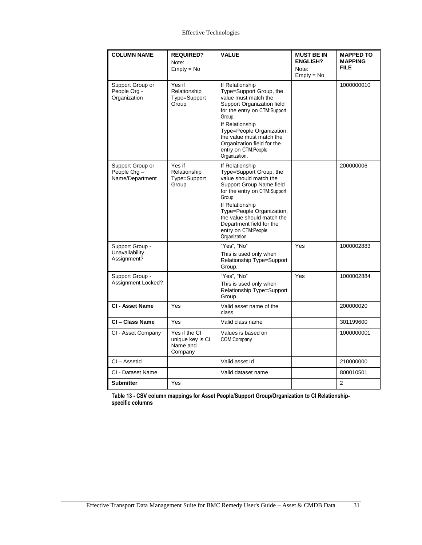| <b>COLUMN NAME</b>                                 | <b>REQUIRED?</b><br>Note:<br>$Empty = No$                | <b>VALUE</b>                                                                                                                                                                                                                                                                                 | <b>MUST BE IN</b><br><b>ENGLISH?</b><br>Note:<br>$Empty = No$ | <b>MAPPED TO</b><br><b>MAPPING</b><br><b>FILE</b> |
|----------------------------------------------------|----------------------------------------------------------|----------------------------------------------------------------------------------------------------------------------------------------------------------------------------------------------------------------------------------------------------------------------------------------------|---------------------------------------------------------------|---------------------------------------------------|
| Support Group or<br>People Org -<br>Organization   | Yes if<br>Relationship<br>Type=Support<br>Group          | If Relationship<br>Type=Support Group, the<br>value must match the<br>Support Organization field<br>for the entry on CTM:Support<br>Group.<br>If Relationship<br>Type=People Organization,<br>the value must match the<br>Organization field for the<br>entry on CTM:People<br>Organization. |                                                               | 1000000010                                        |
| Support Group or<br>People Org-<br>Name/Department | Yes if<br>Relationship<br>Type=Support<br>Group          | If Relationship<br>Type=Support Group, the<br>value should match the<br>Support Group Name field<br>for the entry on CTM:Support<br>Group<br>If Relationship<br>Type=People Organization,<br>the value should match the<br>Department field for the<br>entry on CTM:People<br>Organization   |                                                               | 200000006                                         |
| Support Group -<br>Unavailability<br>Assignment?   |                                                          | "Yes", "No"<br>This is used only when<br><b>Relationship Type=Support</b><br>Group.                                                                                                                                                                                                          | Yes                                                           | 1000002883                                        |
| Support Group -<br>Assignment Locked?              |                                                          | "Yes". "No"<br>This is used only when<br>Relationship Type=Support<br>Group.                                                                                                                                                                                                                 | Yes                                                           | 1000002884                                        |
| CI - Asset Name                                    | Yes                                                      | Valid asset name of the<br>class                                                                                                                                                                                                                                                             |                                                               | 200000020                                         |
| CI - Class Name                                    | <b>Yes</b>                                               | Valid class name                                                                                                                                                                                                                                                                             |                                                               | 301199600                                         |
| CI - Asset Company                                 | Yes if the CI<br>unique key is CI<br>Name and<br>Company | Values is based on<br>COM:Company                                                                                                                                                                                                                                                            |                                                               | 1000000001                                        |
| $Cl - Assetld$                                     |                                                          | Valid asset Id                                                                                                                                                                                                                                                                               |                                                               | 210000000                                         |
| CI - Dataset Name                                  |                                                          | Valid dataset name                                                                                                                                                                                                                                                                           |                                                               | 800010501                                         |
| <b>Submitter</b>                                   | Yes                                                      |                                                                                                                                                                                                                                                                                              |                                                               | 2                                                 |

**Table 13 - CSV column mappings for Asset People/Support Group/Organization to CI Relationshipspecific columns**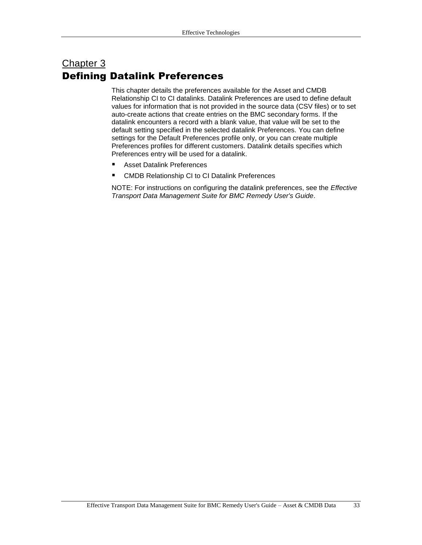# <span id="page-32-0"></span>Chapter 3 Defining Datalink Preferences

This chapter details the preferences available for the Asset and CMDB Relationship CI to CI datalinks. Datalink Preferences are used to define default values for information that is not provided in the source data (CSV files) or to set auto-create actions that create entries on the BMC secondary forms. If the datalink encounters a record with a blank value, that value will be set to the default setting specified in the selected datalink Preferences. You can define settings for the Default Preferences profile only, or you can create multiple Preferences profiles for different customers. Datalink details specifies which Preferences entry will be used for a datalink.

- **B** Asset [Datalink Preferences](#page-33-0)
- [CMDB Relationship CI to CI Datalink Preferences](#page-34-0)

NOTE: For instructions on configuring the datalink preferences, see the *Effective Transport Data Management Suite for BMC Remedy User's Guide*.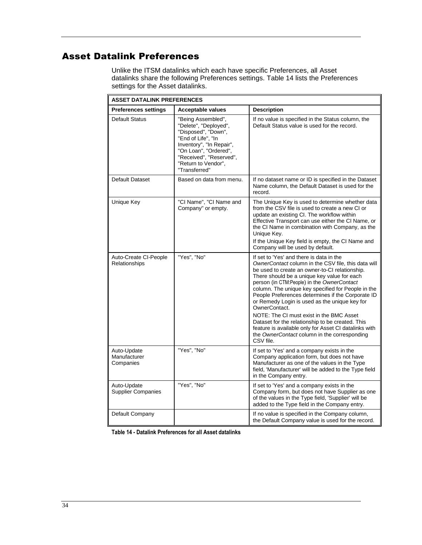# <span id="page-33-0"></span>Asset Datalink Preferences

Unlike the ITSM datalinks which each have specific Preferences, all Asset datalinks share the following Preferences settings. [Table 14](#page-33-1) lists the Preferences settings for the Asset datalinks.

| <b>ASSET DATALINK PREFERENCES</b>        |                                                                                                                                                                                                                  |                                                                                                                                                                                                                                                                                                                                                                                                                                                                                                                                                                                                                                                   |  |
|------------------------------------------|------------------------------------------------------------------------------------------------------------------------------------------------------------------------------------------------------------------|---------------------------------------------------------------------------------------------------------------------------------------------------------------------------------------------------------------------------------------------------------------------------------------------------------------------------------------------------------------------------------------------------------------------------------------------------------------------------------------------------------------------------------------------------------------------------------------------------------------------------------------------------|--|
| <b>Preferences settings</b>              | <b>Acceptable values</b>                                                                                                                                                                                         | <b>Description</b>                                                                                                                                                                                                                                                                                                                                                                                                                                                                                                                                                                                                                                |  |
| <b>Default Status</b>                    | "Being Assembled",<br>"Delete", "Deployed",<br>"Disposed", "Down",<br>"End of Life", "In<br>Inventory", "In Repair",<br>"On Loan", "Ordered",<br>"Received", "Reserved",<br>"Return to Vendor",<br>"Transferred" | If no value is specified in the Status column, the<br>Default Status value is used for the record.                                                                                                                                                                                                                                                                                                                                                                                                                                                                                                                                                |  |
| Default Dataset                          | Based on data from menu.                                                                                                                                                                                         | If no dataset name or ID is specified in the Dataset<br>Name column, the Default Dataset is used for the<br>record.                                                                                                                                                                                                                                                                                                                                                                                                                                                                                                                               |  |
| Unique Key                               | "CI Name", "CI Name and<br>Company" or empty.                                                                                                                                                                    | The Unique Key is used to determine whether data<br>from the CSV file is used to create a new CI or<br>update an existing CI. The workflow within<br>Effective Transport can use either the CI Name, or<br>the CI Name in combination with Company, as the<br>Unique Key.<br>If the Unique Key field is empty, the CI Name and<br>Company will be used by default.                                                                                                                                                                                                                                                                                |  |
| Auto-Create CI-People<br>Relationships   | "Yes", "No"                                                                                                                                                                                                      | If set to 'Yes' and there is data in the<br>OwnerContact column in the CSV file, this data will<br>be used to create an owner-to-CI relationship.<br>There should be a unique key value for each<br>person (in CTM:People) in the OwnerContact<br>column. The unique key specified for People in the<br>People Preferences determines if the Corporate ID<br>or Remedy Login is used as the unique key for<br>OwnerContact.<br>NOTE: The CI must exist in the BMC Asset<br>Dataset for the relationship to be created. This<br>feature is available only for Asset CI datalinks with<br>the OwnerContact column in the corresponding<br>CSV file. |  |
| Auto-Update<br>Manufacturer<br>Companies | "Yes", "No"                                                                                                                                                                                                      | If set to 'Yes' and a company exists in the<br>Company application form, but does not have<br>Manufacturer as one of the values in the Type<br>field, 'Manufacturer' will be added to the Type field<br>in the Company entry.                                                                                                                                                                                                                                                                                                                                                                                                                     |  |
| Auto-Update<br><b>Supplier Companies</b> | "Yes", "No"                                                                                                                                                                                                      | If set to 'Yes' and a company exists in the<br>Company form, but does not have Supplier as one<br>of the values in the Type field, 'Supplier' will be<br>added to the Type field in the Company entry.                                                                                                                                                                                                                                                                                                                                                                                                                                            |  |
| Default Company                          |                                                                                                                                                                                                                  | If no value is specified in the Company column,<br>the Default Company value is used for the record.                                                                                                                                                                                                                                                                                                                                                                                                                                                                                                                                              |  |

<span id="page-33-1"></span>**Table 14 - Datalink Preferences for all Asset datalinks**